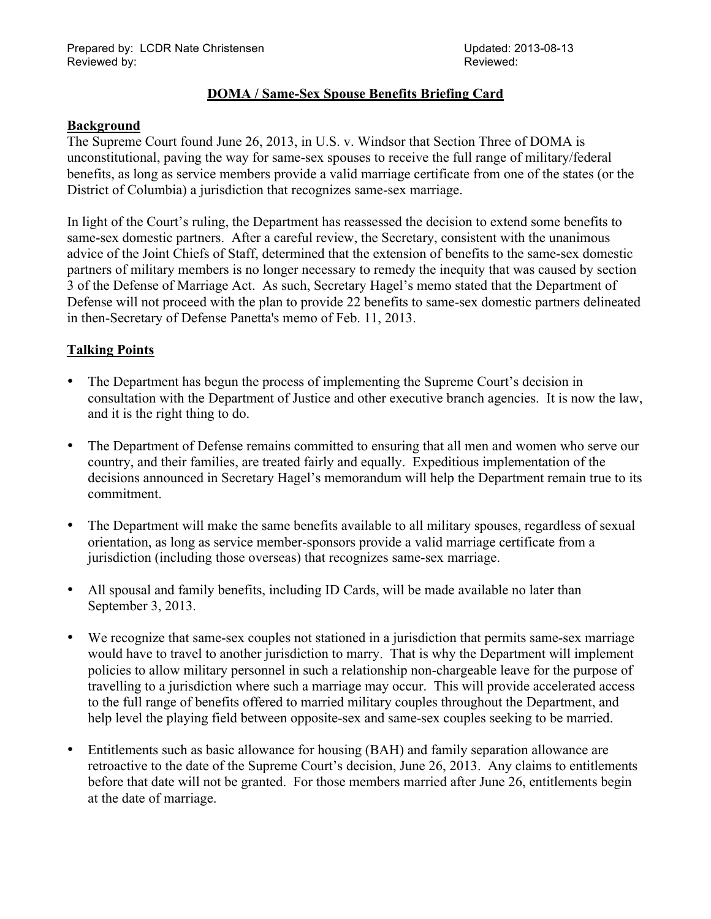### **DOMA / Same-Sex Spouse Benefits Briefing Card**

#### **Background**

The Supreme Court found June 26, 2013, in U.S. v. Windsor that Section Three of DOMA is unconstitutional, paving the way for same-sex spouses to receive the full range of military/federal benefits, as long as service members provide a valid marriage certificate from one of the states (or the District of Columbia) a jurisdiction that recognizes same-sex marriage.

In light of the Court's ruling, the Department has reassessed the decision to extend some benefits to same-sex domestic partners. After a careful review, the Secretary, consistent with the unanimous advice of the Joint Chiefs of Staff, determined that the extension of benefits to the same-sex domestic partners of military members is no longer necessary to remedy the inequity that was caused by section 3 of the Defense of Marriage Act. As such, Secretary Hagel's memo stated that the Department of Defense will not proceed with the plan to provide 22 benefits to same-sex domestic partners delineated in then-Secretary of Defense Panetta's memo of Feb. 11, 2013.

## **Talking Points**

- The Department has begun the process of implementing the Supreme Court's decision in consultation with the Department of Justice and other executive branch agencies. It is now the law, and it is the right thing to do.
- The Department of Defense remains committed to ensuring that all men and women who serve our country, and their families, are treated fairly and equally. Expeditious implementation of the decisions announced in Secretary Hagel's memorandum will help the Department remain true to its commitment.
- The Department will make the same benefits available to all military spouses, regardless of sexual orientation, as long as service member-sponsors provide a valid marriage certificate from a jurisdiction (including those overseas) that recognizes same-sex marriage.
- All spousal and family benefits, including ID Cards, will be made available no later than September 3, 2013.
- We recognize that same-sex couples not stationed in a jurisdiction that permits same-sex marriage would have to travel to another jurisdiction to marry. That is why the Department will implement policies to allow military personnel in such a relationship non-chargeable leave for the purpose of travelling to a jurisdiction where such a marriage may occur. This will provide accelerated access to the full range of benefits offered to married military couples throughout the Department, and help level the playing field between opposite-sex and same-sex couples seeking to be married.
- Entitlements such as basic allowance for housing (BAH) and family separation allowance are retroactive to the date of the Supreme Court's decision, June 26, 2013. Any claims to entitlements before that date will not be granted. For those members married after June 26, entitlements begin at the date of marriage.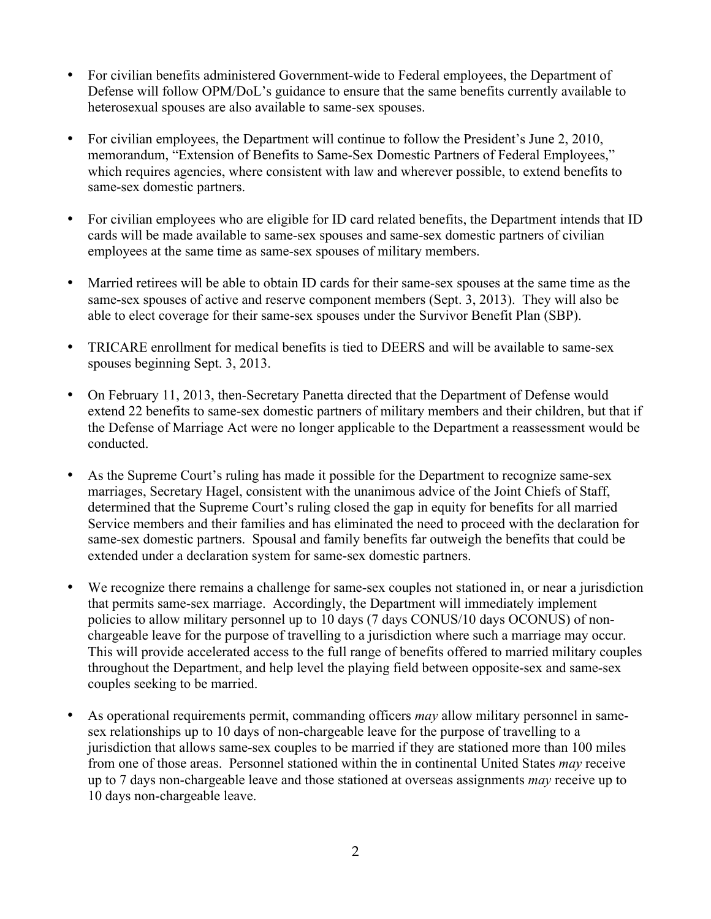- For civilian benefits administered Government-wide to Federal employees, the Department of Defense will follow OPM/DoL's guidance to ensure that the same benefits currently available to heterosexual spouses are also available to same-sex spouses.
- For civilian employees, the Department will continue to follow the President's June 2, 2010, memorandum, "Extension of Benefits to Same-Sex Domestic Partners of Federal Employees," which requires agencies, where consistent with law and wherever possible, to extend benefits to same-sex domestic partners.
- For civilian employees who are eligible for ID card related benefits, the Department intends that ID cards will be made available to same-sex spouses and same-sex domestic partners of civilian employees at the same time as same-sex spouses of military members.
- Married retirees will be able to obtain ID cards for their same-sex spouses at the same time as the same-sex spouses of active and reserve component members (Sept. 3, 2013). They will also be able to elect coverage for their same-sex spouses under the Survivor Benefit Plan (SBP).
- TRICARE enrollment for medical benefits is tied to DEERS and will be available to same-sex spouses beginning Sept. 3, 2013.
- On February 11, 2013, then-Secretary Panetta directed that the Department of Defense would extend 22 benefits to same-sex domestic partners of military members and their children, but that if the Defense of Marriage Act were no longer applicable to the Department a reassessment would be conducted.
- As the Supreme Court's ruling has made it possible for the Department to recognize same-sex marriages, Secretary Hagel, consistent with the unanimous advice of the Joint Chiefs of Staff, determined that the Supreme Court's ruling closed the gap in equity for benefits for all married Service members and their families and has eliminated the need to proceed with the declaration for same-sex domestic partners. Spousal and family benefits far outweigh the benefits that could be extended under a declaration system for same-sex domestic partners.
- We recognize there remains a challenge for same-sex couples not stationed in, or near a jurisdiction that permits same-sex marriage. Accordingly, the Department will immediately implement policies to allow military personnel up to 10 days (7 days CONUS/10 days OCONUS) of nonchargeable leave for the purpose of travelling to a jurisdiction where such a marriage may occur. This will provide accelerated access to the full range of benefits offered to married military couples throughout the Department, and help level the playing field between opposite-sex and same-sex couples seeking to be married.
- As operational requirements permit, commanding officers *may* allow military personnel in samesex relationships up to 10 days of non-chargeable leave for the purpose of travelling to a jurisdiction that allows same-sex couples to be married if they are stationed more than 100 miles from one of those areas. Personnel stationed within the in continental United States *may* receive up to 7 days non-chargeable leave and those stationed at overseas assignments *may* receive up to 10 days non-chargeable leave.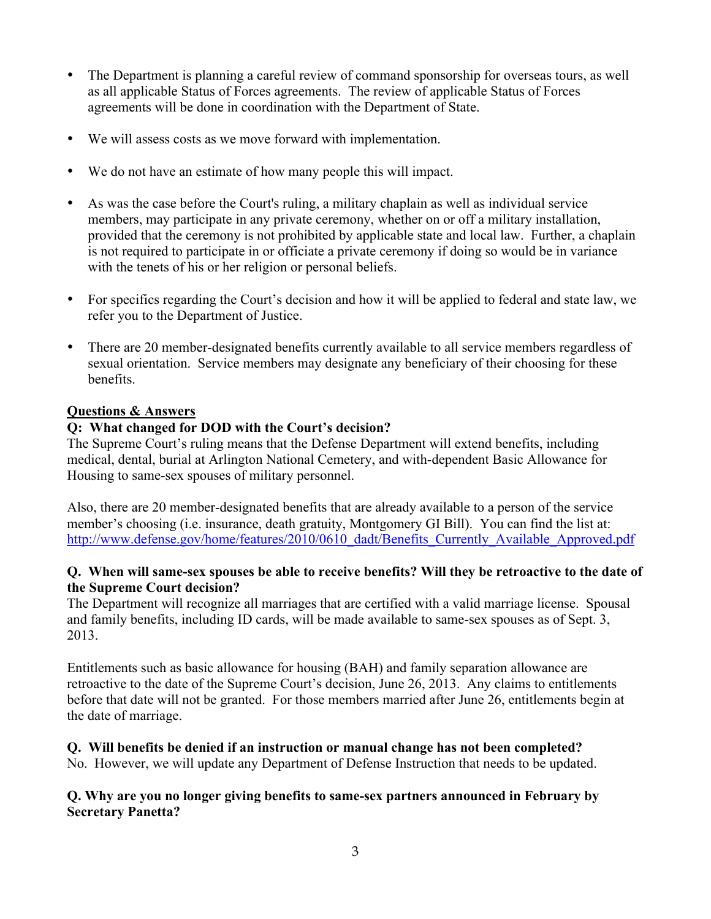- The Department is planning a careful review of command sponsorship for overseas tours, as well as all applicable Status of Forces agreements. The review of applicable Status of Forces agreements will be done in coordination with the Department of State.
- We will assess costs as we move forward with implementation.
- We do not have an estimate of how many people this will impact.
- As was the case before the Court's ruling, a military chaplain as well as individual service members, may participate in any private ceremony, whether on or off a military installation, provided that the ceremony is not prohibited by applicable state and local law. Further, a chaplain is not required to participate in or officiate a private ceremony if doing so would be in variance with the tenets of his or her religion or personal beliefs.
- For specifics regarding the Court's decision and how it will be applied to federal and state law, we refer you to the Department of Justice.
- There are 20 member-designated benefits currently available to all service members regardless of sexual orientation. Service members may designate any beneficiary of their choosing for these benefits.

#### **Questions & Answers**

## **Q: What changed for DOD with the Court's decision?**

The Supreme Court's ruling means that the Defense Department will extend benefits, including medical, dental, burial at Arlington National Cemetery, and with-dependent Basic Allowance for Housing to same-sex spouses of military personnel.

Also, there are 20 member-designated benefits that are already available to a person of the service member's choosing (i.e. insurance, death gratuity, Montgomery GI Bill). You can find the list at: http://www.defense.gov/home/features/2010/0610\_dadt/Benefits\_Currently\_Available\_Approved.pdf

#### **Q. When will same-sex spouses be able to receive benefits? Will they be retroactive to the date of the Supreme Court decision?**

The Department will recognize all marriages that are certified with a valid marriage license. Spousal and family benefits, including ID cards, will be made available to same-sex spouses as of Sept. 3, 2013.

Entitlements such as basic allowance for housing (BAH) and family separation allowance are retroactive to the date of the Supreme Court's decision, June 26, 2013. Any claims to entitlements before that date will not be granted. For those members married after June 26, entitlements begin at the date of marriage.

# **Q. Will benefits be denied if an instruction or manual change has not been completed?**

No. However, we will update any Department of Defense Instruction that needs to be updated.

#### **Q. Why are you no longer giving benefits to same-sex partners announced in February by Secretary Panetta?**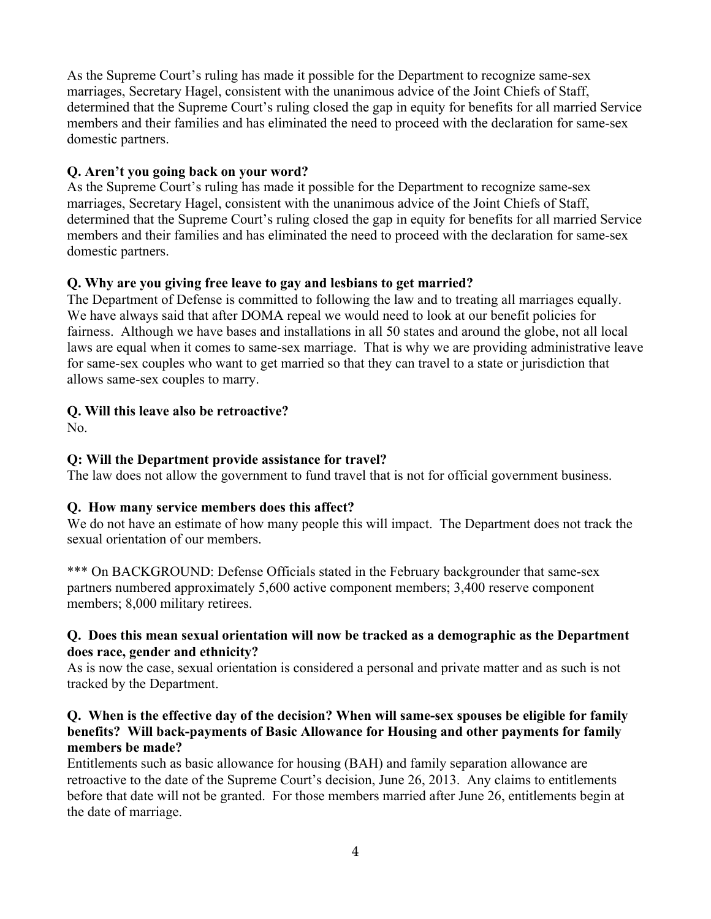As the Supreme Court's ruling has made it possible for the Department to recognize same-sex marriages, Secretary Hagel, consistent with the unanimous advice of the Joint Chiefs of Staff, determined that the Supreme Court's ruling closed the gap in equity for benefits for all married Service members and their families and has eliminated the need to proceed with the declaration for same-sex domestic partners.

## **Q. Aren't you going back on your word?**

As the Supreme Court's ruling has made it possible for the Department to recognize same-sex marriages, Secretary Hagel, consistent with the unanimous advice of the Joint Chiefs of Staff, determined that the Supreme Court's ruling closed the gap in equity for benefits for all married Service members and their families and has eliminated the need to proceed with the declaration for same-sex domestic partners.

# **Q. Why are you giving free leave to gay and lesbians to get married?**

The Department of Defense is committed to following the law and to treating all marriages equally. We have always said that after DOMA repeal we would need to look at our benefit policies for fairness. Although we have bases and installations in all 50 states and around the globe, not all local laws are equal when it comes to same-sex marriage. That is why we are providing administrative leave for same-sex couples who want to get married so that they can travel to a state or jurisdiction that allows same-sex couples to marry.

## **Q. Will this leave also be retroactive?**

No.

# **Q: Will the Department provide assistance for travel?**

The law does not allow the government to fund travel that is not for official government business.

# **Q. How many service members does this affect?**

We do not have an estimate of how many people this will impact. The Department does not track the sexual orientation of our members.

\*\*\* On BACKGROUND: Defense Officials stated in the February backgrounder that same-sex partners numbered approximately 5,600 active component members; 3,400 reserve component members; 8,000 military retirees.

#### **Q. Does this mean sexual orientation will now be tracked as a demographic as the Department does race, gender and ethnicity?**

As is now the case, sexual orientation is considered a personal and private matter and as such is not tracked by the Department.

#### **Q. When is the effective day of the decision? When will same-sex spouses be eligible for family benefits? Will back-payments of Basic Allowance for Housing and other payments for family members be made?**

Entitlements such as basic allowance for housing (BAH) and family separation allowance are retroactive to the date of the Supreme Court's decision, June 26, 2013. Any claims to entitlements before that date will not be granted. For those members married after June 26, entitlements begin at the date of marriage.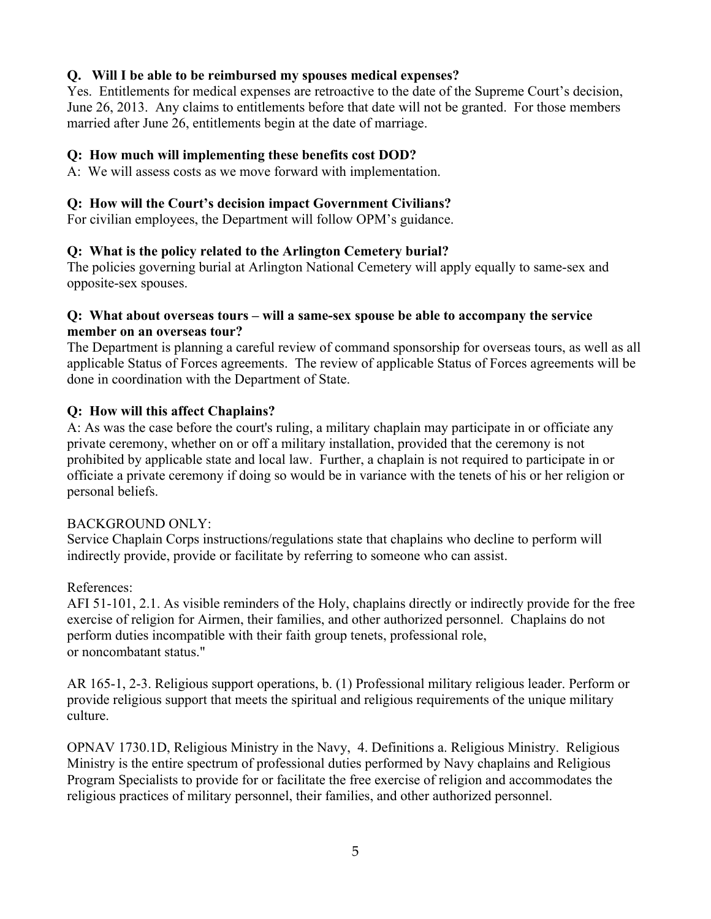### **Q. Will I be able to be reimbursed my spouses medical expenses?**

Yes. Entitlements for medical expenses are retroactive to the date of the Supreme Court's decision, June 26, 2013. Any claims to entitlements before that date will not be granted. For those members married after June 26, entitlements begin at the date of marriage.

### **Q: How much will implementing these benefits cost DOD?**

A:We will assess costs as we move forward with implementation.

## **Q: How will the Court's decision impact Government Civilians?**

For civilian employees, the Department will follow OPM's guidance.

## **Q: What is the policy related to the Arlington Cemetery burial?**

The policies governing burial at Arlington National Cemetery will apply equally to same-sex and opposite-sex spouses.

#### **Q: What about overseas tours – will a same-sex spouse be able to accompany the service member on an overseas tour?**

The Department is planning a careful review of command sponsorship for overseas tours, as well as all applicable Status of Forces agreements. The review of applicable Status of Forces agreements will be done in coordination with the Department of State.

# **Q: How will this affect Chaplains?**

A: As was the case before the court's ruling, a military chaplain may participate in or officiate any private ceremony, whether on or off a military installation, provided that the ceremony is not prohibited by applicable state and local law. Further, a chaplain is not required to participate in or officiate a private ceremony if doing so would be in variance with the tenets of his or her religion or personal beliefs.

#### BACKGROUND ONLY:

Service Chaplain Corps instructions/regulations state that chaplains who decline to perform will indirectly provide, provide or facilitate by referring to someone who can assist.

#### References:

AFI 51-101, 2.1. As visible reminders of the Holy, chaplains directly or indirectly provide for the free exercise of religion for Airmen, their families, and other authorized personnel. Chaplains do not perform duties incompatible with their faith group tenets, professional role, or noncombatant status."

AR 165-1, 2-3. Religious support operations, b. (1) Professional military religious leader. Perform or provide religious support that meets the spiritual and religious requirements of the unique military culture.

OPNAV 1730.1D, Religious Ministry in the Navy, 4. Definitions a. Religious Ministry. Religious Ministry is the entire spectrum of professional duties performed by Navy chaplains and Religious Program Specialists to provide for or facilitate the free exercise of religion and accommodates the religious practices of military personnel, their families, and other authorized personnel.